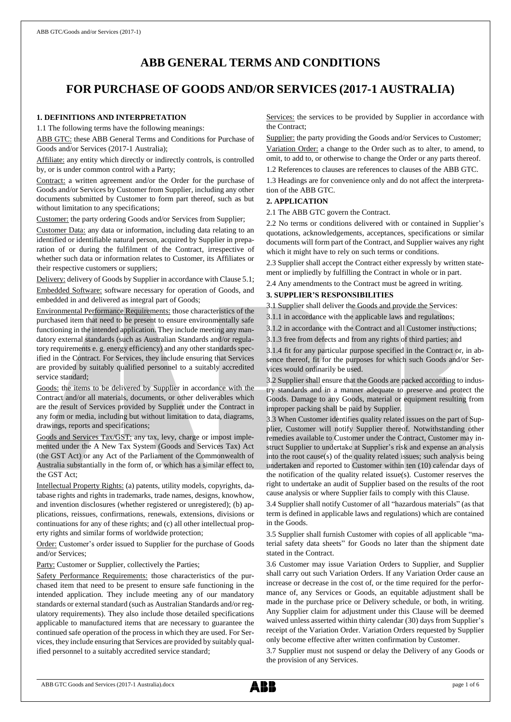# **ABB GENERAL TERMS AND CONDITIONS**

# **FOR PURCHASE OF GOODS AND/OR SERVICES (2017-1 AUSTRALIA)**

## **1. DEFINITIONS AND INTERPRETATION**

1.1 The following terms have the following meanings:

ABB GTC: these ABB General Terms and Conditions for Purchase of Goods and/or Services (2017-1 Australia);

Affiliate: any entity which directly or indirectly controls, is controlled by, or is under common control with a Party;

Contract: a written agreement and/or the Order for the purchase of Goods and/or Services by Customer from Supplier, including any other documents submitted by Customer to form part thereof, such as but without limitation to any specifications;

Customer: the party ordering Goods and/or Services from Supplier;

Customer Data: any data or information, including data relating to an identified or identifiable natural person, acquired by Supplier in preparation of or during the fulfilment of the Contract, irrespective of whether such data or information relates to Customer, its Affiliates or their respective customers or suppliers;

Delivery: delivery of Goods by Supplier in accordance with Clause 5.1;

Embedded Software: software necessary for operation of Goods, and embedded in and delivered as integral part of Goods;

Environmental Performance Requirements: those characteristics of the purchased item that need to be present to ensure environmentally safe functioning in the intended application. They include meeting any mandatory external standards (such as Australian Standards and/or regulatory requirements e. g. energy efficiency) and any other standards specified in the Contract. For Services, they include ensuring that Services are provided by suitably qualified personnel to a suitably accredited service standard;

Goods: the items to be delivered by Supplier in accordance with the Contract and/or all materials, documents, or other deliverables which are the result of Services provided by Supplier under the Contract in any form or media, including but without limitation to data, diagrams, drawings, reports and specifications;

Goods and Services Tax/GST: any tax, levy, charge or impost implemented under the A New Tax System (Goods and Services Tax) Act (the GST Act) or any Act of the Parliament of the Commonwealth of Australia substantially in the form of, or which has a similar effect to, the GST Act;

Intellectual Property Rights: (a) patents, utility models, copyrights, database rights and rights in trademarks, trade names, designs, knowhow, and invention disclosures (whether registered or unregistered); (b) applications, reissues, confirmations, renewals, extensions, divisions or continuations for any of these rights; and (c) all other intellectual property rights and similar forms of worldwide protection;

Order: Customer's order issued to Supplier for the purchase of Goods and/or Services;

Party: Customer or Supplier, collectively the Parties;

Safety Performance Requirements: those characteristics of the purchased item that need to be present to ensure safe functioning in the intended application. They include meeting any of our mandatory standards or external standard (such as Australian Standards and/or regulatory requirements). They also include those detailed specifications applicable to manufactured items that are necessary to guarantee the continued safe operation of the process in which they are used. For Services, they include ensuring that Services are provided by suitably qualified personnel to a suitably accredited service standard;

Services: the services to be provided by Supplier in accordance with the Contract;

Supplier: the party providing the Goods and/or Services to Customer;

Variation Order: a change to the Order such as to alter, to amend, to omit, to add to, or otherwise to change the Order or any parts thereof.

1.2 References to clauses are references to clauses of the ABB GTC.

1.3 Headings are for convenience only and do not affect the interpretation of the ABB GTC.

# **2. APPLICATION**

2.1 The ABB GTC govern the Contract.

2.2 No terms or conditions delivered with or contained in Supplier's quotations, acknowledgements, acceptances, specifications or similar documents will form part of the Contract, and Supplier waives any right which it might have to rely on such terms or conditions.

2.3 Supplier shall accept the Contract either expressly by written statement or impliedly by fulfilling the Contract in whole or in part.

2.4 Any amendments to the Contract must be agreed in writing.

## **3. SUPPLIER'S RESPONSIBILITIES**

3.1 Supplier shall deliver the Goods and provide the Services:

3.1.1 in accordance with the applicable laws and regulations;

3.1.2 in accordance with the Contract and all Customer instructions;

3.1.3 free from defects and from any rights of third parties; and

3.1.4 fit for any particular purpose specified in the Contract or, in absence thereof, fit for the purposes for which such Goods and/or Services would ordinarily be used.

3.2 Supplier shall ensure that the Goods are packed according to industry standards and in a manner adequate to preserve and protect the Goods. Damage to any Goods, material or equipment resulting from improper packing shall be paid by Supplier.

3.3 When Customer identifies quality related issues on the part of Supplier, Customer will notify Supplier thereof. Notwithstanding other remedies available to Customer under the Contract, Customer may instruct Supplier to undertake at Supplier's risk and expense an analysis into the root cause(s) of the quality related issues; such analysis being undertaken and reported to Customer within ten (10) calendar days of the notification of the quality related issue(s). Customer reserves the right to undertake an audit of Supplier based on the results of the root cause analysis or where Supplier fails to comply with this Clause.

3.4 Supplier shall notify Customer of all "hazardous materials" (as that term is defined in applicable laws and regulations) which are contained in the Goods.

3.5 Supplier shall furnish Customer with copies of all applicable "material safety data sheets" for Goods no later than the shipment date stated in the Contract.

3.6 Customer may issue Variation Orders to Supplier, and Supplier shall carry out such Variation Orders. If any Variation Order cause an increase or decrease in the cost of, or the time required for the performance of, any Services or Goods, an equitable adjustment shall be made in the purchase price or Delivery schedule, or both, in writing. Any Supplier claim for adjustment under this Clause will be deemed waived unless asserted within thirty calendar (30) days from Supplier's receipt of the Variation Order. Variation Orders requested by Supplier only become effective after written confirmation by Customer.

3.7 Supplier must not suspend or delay the Delivery of any Goods or the provision of any Services.

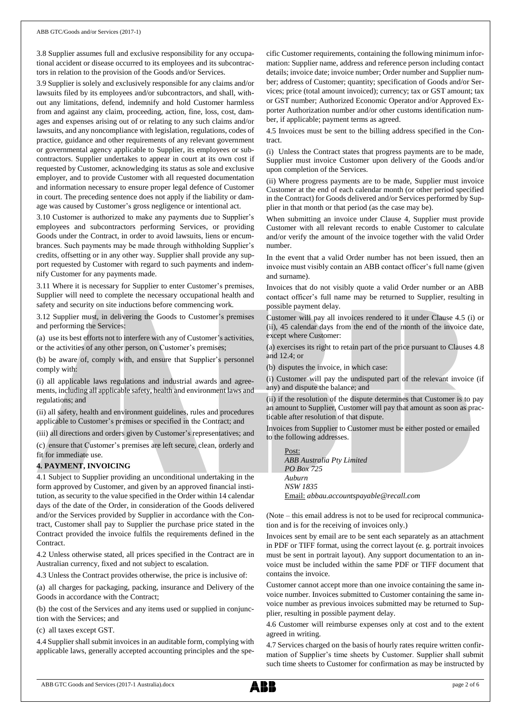3.8 Supplier assumes full and exclusive responsibility for any occupational accident or disease occurred to its employees and its subcontractors in relation to the provision of the Goods and/or Services.

3.9 Supplier is solely and exclusively responsible for any claims and/or lawsuits filed by its employees and/or subcontractors, and shall, without any limitations, defend, indemnify and hold Customer harmless from and against any claim, proceeding, action, fine, loss, cost, damages and expenses arising out of or relating to any such claims and/or lawsuits, and any noncompliance with legislation, regulations, codes of practice, guidance and other requirements of any relevant government or governmental agency applicable to Supplier, its employees or subcontractors. Supplier undertakes to appear in court at its own cost if requested by Customer, acknowledging its status as sole and exclusive employer, and to provide Customer with all requested documentation and information necessary to ensure proper legal defence of Customer in court. The preceding sentence does not apply if the liability or damage was caused by Customer's gross negligence or intentional act.

3.10 Customer is authorized to make any payments due to Supplier's employees and subcontractors performing Services, or providing Goods under the Contract, in order to avoid lawsuits, liens or encumbrances. Such payments may be made through withholding Supplier's credits, offsetting or in any other way. Supplier shall provide any support requested by Customer with regard to such payments and indemnify Customer for any payments made.

3.11 Where it is necessary for Supplier to enter Customer's premises, Supplier will need to complete the necessary occupational health and safety and security on site inductions before commencing work.

3.12 Supplier must, in delivering the Goods to Customer's premises and performing the Services:

(a) use its best efforts not to interfere with any of Customer's activities, or the activities of any other person, on Customer's premises;

(b) be aware of, comply with, and ensure that Supplier's personnel comply with:

(i) all applicable laws regulations and industrial awards and agreements, including all applicable safety, health and environment laws and regulations; and

(ii) all safety, health and environment guidelines, rules and procedures applicable to Customer's premises or specified in the Contract; and

(iii) all directions and orders given by Customer's representatives; and

(c) ensure that Customer's premises are left secure, clean, orderly and fit for immediate use.

## **4. PAYMENT, INVOICING**

4.1 Subject to Supplier providing an unconditional undertaking in the form approved by Customer, and given by an approved financial institution, as security to the value specified in the Order within 14 calendar days of the date of the Order, in consideration of the Goods delivered and/or the Services provided by Supplier in accordance with the Contract, Customer shall pay to Supplier the purchase price stated in the Contract provided the invoice fulfils the requirements defined in the Contract.

4.2 Unless otherwise stated, all prices specified in the Contract are in Australian currency, fixed and not subject to escalation.

4.3 Unless the Contract provides otherwise, the price is inclusive of:

(a) all charges for packaging, packing, insurance and Delivery of the Goods in accordance with the Contract;

(b) the cost of the Services and any items used or supplied in conjunction with the Services; and

(c) all taxes except GST.

4.4 Supplier shall submit invoices in an auditable form, complying with applicable laws, generally accepted accounting principles and the specific Customer requirements, containing the following minimum information: Supplier name, address and reference person including contact details; invoice date; invoice number; Order number and Supplier number; address of Customer; quantity; specification of Goods and/or Services; price (total amount invoiced); currency; tax or GST amount; tax or GST number; Authorized Economic Operator and/or Approved Exporter Authorization number and/or other customs identification number, if applicable; payment terms as agreed.

4.5 Invoices must be sent to the billing address specified in the Contract.

(i) Unless the Contract states that progress payments are to be made, Supplier must invoice Customer upon delivery of the Goods and/or upon completion of the Services.

(ii) Where progress payments are to be made, Supplier must invoice Customer at the end of each calendar month (or other period specified in the Contract) for Goods delivered and/or Services performed by Supplier in that month or that period (as the case may be).

When submitting an invoice under Clause 4, Supplier must provide Customer with all relevant records to enable Customer to calculate and/or verify the amount of the invoice together with the valid Order number.

In the event that a valid Order number has not been issued, then an invoice must visibly contain an ABB contact officer's full name (given and surname).

Invoices that do not visibly quote a valid Order number or an ABB contact officer's full name may be returned to Supplier, resulting in possible payment delay.

Customer will pay all invoices rendered to it under Clause 4.5 (i) or (ii), 45 calendar days from the end of the month of the invoice date, except where Customer:

(a) exercises its right to retain part of the price pursuant to Clauses 4.8 and 12.4; or

(b) disputes the invoice, in which case:

(i) Customer will pay the undisputed part of the relevant invoice (if any) and dispute the balance; and

(ii) if the resolution of the dispute determines that Customer is to pay an amount to Supplier, Customer will pay that amount as soon as practicable after resolution of that dispute.

Invoices from Supplier to Customer must be either posted or emailed to the following addresses.

Post: *ABB Australia Pty Limited PO Box 725 Auburn NSW 1835* Email: *[abbau.accountspayable@recall.com](mailto:abbau.accountspayable@recall.com)*

(Note – this email address is not to be used for reciprocal communication and is for the receiving of invoices only.)

Invoices sent by email are to be sent each separately as an attachment in PDF or TIFF format, using the correct layout (e. g. portrait invoices must be sent in portrait layout). Any support documentation to an invoice must be included within the same PDF or TIFF document that contains the invoice.

Customer cannot accept more than one invoice containing the same invoice number. Invoices submitted to Customer containing the same invoice number as previous invoices submitted may be returned to Supplier, resulting in possible payment delay.

4.6 Customer will reimburse expenses only at cost and to the extent agreed in writing.

4.7 Services charged on the basis of hourly rates require written confirmation of Supplier's time sheets by Customer. Supplier shall submit such time sheets to Customer for confirmation as may be instructed by

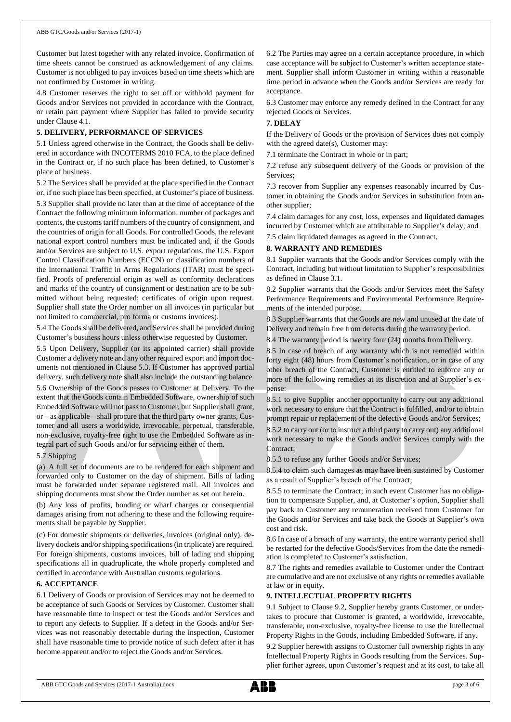Customer but latest together with any related invoice. Confirmation of time sheets cannot be construed as acknowledgement of any claims. Customer is not obliged to pay invoices based on time sheets which are not confirmed by Customer in writing.

4.8 Customer reserves the right to set off or withhold payment for Goods and/or Services not provided in accordance with the Contract, or retain part payment where Supplier has failed to provide security under Clause 4.1.

### **5. DELIVERY, PERFORMANCE OF SERVICES**

5.1 Unless agreed otherwise in the Contract, the Goods shall be delivered in accordance with INCOTERMS 2010 FCA, to the place defined in the Contract or, if no such place has been defined, to Customer's place of business.

5.2 The Services shall be provided at the place specified in the Contract or, if no such place has been specified, at Customer's place of business.

5.3 Supplier shall provide no later than at the time of acceptance of the Contract the following minimum information: number of packages and contents, the customs tariff numbers of the country of consignment, and the countries of origin for all Goods. For controlled Goods, the relevant national export control numbers must be indicated and, if the Goods and/or Services are subject to U.S. export regulations, the U.S. Export Control Classification Numbers (ECCN) or classification numbers of the International Traffic in Arms Regulations (ITAR) must be specified. Proofs of preferential origin as well as conformity declarations and marks of the country of consignment or destination are to be submitted without being requested; certificates of origin upon request. Supplier shall state the Order number on all invoices (in particular but not limited to commercial, pro forma or customs invoices).

5.4 The Goods shall be delivered, and Services shall be provided during Customer's business hours unless otherwise requested by Customer.

5.5 Upon Delivery, Supplier (or its appointed carrier) shall provide Customer a delivery note and any other required export and import documents not mentioned in Clause 5.3. If Customer has approved partial delivery, such delivery note shall also include the outstanding balance.

5.6 Ownership of the Goods passes to Customer at Delivery. To the extent that the Goods contain Embedded Software, ownership of such Embedded Software will not passto Customer, but Supplier shall grant, or – as applicable – shall procure that the third party owner grants, Customer and all users a worldwide, irrevocable, perpetual, transferable, non-exclusive, royalty-free right to use the Embedded Software as integral part of such Goods and/or for servicing either of them.

#### 5.7 Shipping

(a) A full set of documents are to be rendered for each shipment and forwarded only to Customer on the day of shipment. Bills of lading must be forwarded under separate registered mail. All invoices and shipping documents must show the Order number as set out herein.

(b) Any loss of profits, bonding or wharf charges or consequential damages arising from not adhering to these and the following requirements shall be payable by Supplier.

(c) For domestic shipments or deliveries, invoices (original only), delivery dockets and/or shipping specifications (in triplicate) are required. For foreign shipments, customs invoices, bill of lading and shipping specifications all in quadruplicate, the whole properly completed and certified in accordance with Australian customs regulations.

#### **6. ACCEPTANCE**

6.1 Delivery of Goods or provision of Services may not be deemed to be acceptance of such Goods or Services by Customer. Customer shall have reasonable time to inspect or test the Goods and/or Services and to report any defects to Supplier. If a defect in the Goods and/or Services was not reasonably detectable during the inspection, Customer shall have reasonable time to provide notice of such defect after it has become apparent and/or to reject the Goods and/or Services.

6.2 The Parties may agree on a certain acceptance procedure, in which case acceptance will be subject to Customer's written acceptance statement. Supplier shall inform Customer in writing within a reasonable time period in advance when the Goods and/or Services are ready for acceptance.

6.3 Customer may enforce any remedy defined in the Contract for any rejected Goods or Services.

#### **7. DELAY**

If the Delivery of Goods or the provision of Services does not comply with the agreed date(s), Customer may:

7.1 terminate the Contract in whole or in part;

7.2 refuse any subsequent delivery of the Goods or provision of the Services;

7.3 recover from Supplier any expenses reasonably incurred by Customer in obtaining the Goods and/or Services in substitution from another supplier;

7.4 claim damages for any cost, loss, expenses and liquidated damages incurred by Customer which are attributable to Supplier's delay; and

7.5 claim liquidated damages as agreed in the Contract.

### **8. WARRANTY AND REMEDIES**

8.1 Supplier warrants that the Goods and/or Services comply with the Contract, including but without limitation to Supplier's responsibilities as defined in Clause 3.1.

8.2 Supplier warrants that the Goods and/or Services meet the Safety Performance Requirements and Environmental Performance Requirements of the intended purpose.

8.3 Supplier warrants that the Goods are new and unused at the date of Delivery and remain free from defects during the warranty period.

8.4 The warranty period is twenty four (24) months from Delivery.

8.5 In case of breach of any warranty which is not remedied within forty eight (48) hours from Customer's notification, or in case of any other breach of the Contract, Customer is entitled to enforce any or more of the following remedies at its discretion and at Supplier's expense:

8.5.1 to give Supplier another opportunity to carry out any additional work necessary to ensure that the Contract is fulfilled, and/or to obtain prompt repair or replacement of the defective Goods and/or Services;

8.5.2 to carry out (or to instruct a third party to carry out) any additional work necessary to make the Goods and/or Services comply with the Contract:

8.5.3 to refuse any further Goods and/or Services;

8.5.4 to claim such damages as may have been sustained by Customer as a result of Supplier's breach of the Contract;

8.5.5 to terminate the Contract; in such event Customer has no obligation to compensate Supplier, and, at Customer's option, Supplier shall pay back to Customer any remuneration received from Customer for the Goods and/or Services and take back the Goods at Supplier's own cost and risk.

8.6 In case of a breach of any warranty, the entire warranty period shall be restarted for the defective Goods/Services from the date the remediation is completed to Customer's satisfaction.

8.7 The rights and remedies available to Customer under the Contract are cumulative and are not exclusive of any rights or remedies available at law or in equity.

### **9. INTELLECTUAL PROPERTY RIGHTS**

9.1 Subject to Clause 9.2, Supplier hereby grants Customer, or undertakes to procure that Customer is granted, a worldwide, irrevocable, transferable, non-exclusive, royalty-free license to use the Intellectual Property Rights in the Goods, including Embedded Software, if any.

9.2 Supplier herewith assigns to Customer full ownership rights in any Intellectual Property Rights in Goods resulting from the Services. Supplier further agrees, upon Customer's request and at its cost, to take all

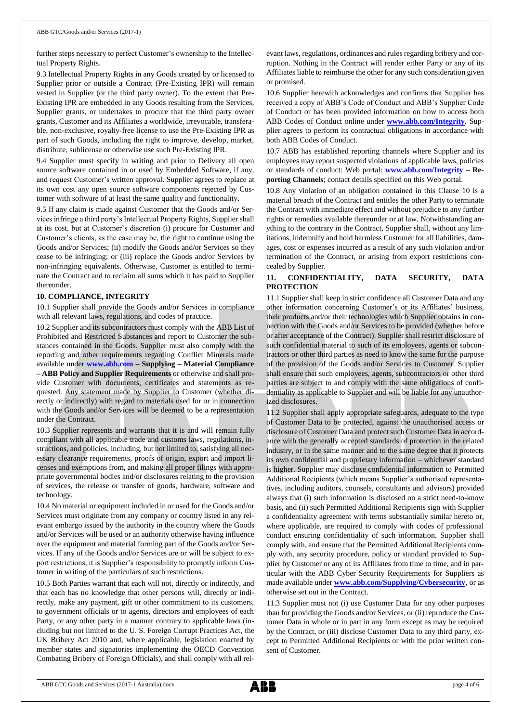further steps necessary to perfect Customer's ownership to the Intellectual Property Rights.

9.3 Intellectual Property Rights in any Goods created by or licensed to Supplier prior or outside a Contract (Pre-Existing IPR) will remain vested in Supplier (or the third party owner). To the extent that Pre-Existing IPR are embedded in any Goods resulting from the Services, Supplier grants, or undertakes to procure that the third party owner grants, Customer and its Affiliates a worldwide, irrevocable, transferable, non-exclusive, royalty-free license to use the Pre-Existing IPR as part of such Goods, including the right to improve, develop, market, distribute, sublicense or otherwise use such Pre-Existing IPR.

9.4 Supplier must specify in writing and prior to Delivery all open source software contained in or used by Embedded Software, if any, and request Customer's written approval. Supplier agrees to replace at its own cost any open source software components rejected by Customer with software of at least the same quality and functionality.

9.5 If any claim is made against Customer that the Goods and/or Services infringe a third party's Intellectual Property Rights, Supplier shall at its cost, but at Customer's discretion (i) procure for Customer and Customer's clients, as the case may be, the right to continue using the Goods and/or Services; (ii) modify the Goods and/or Services so they cease to be infringing; or (iii) replace the Goods and/or Services by non-infringing equivalents. Otherwise, Customer is entitled to terminate the Contract and to reclaim all sums which it has paid to Supplier thereunder.

#### **10. COMPLIANCE, INTEGRITY**

10.1 Supplier shall provide the Goods and/or Services in compliance with all relevant laws, regulations, and codes of practice.

10.2 Supplier and its subcontractors must comply with the ABB List of Prohibited and Restricted Substances and report to Customer the substances contained in the Goods. Supplier must also comply with the reporting and other requirements regarding Conflict Minerals made available under **[www.abb.com](http://www.abb.com/) – Supplying – Material Compliance – ABB Policy and Supplier Requirements** or otherwise and shall provide Customer with documents, certificates and statements as requested. Any statement made by Supplier to Customer (whether directly or indirectly) with regard to materials used for or in connection with the Goods and/or Services will be deemed to be a representation under the Contract.

10.3 Supplier represents and warrants that it is and will remain fully compliant with all applicable trade and customs laws, regulations, instructions, and policies, including, but not limited to, satisfying all necessary clearance requirements, proofs of origin, export and import licenses and exemptions from, and making all proper filings with appropriate governmental bodies and/or disclosures relating to the provision of services, the release or transfer of goods, hardware, software and technology.

10.4 No material or equipment included in or used for the Goods and/or Services must originate from any company or country listed in any relevant embargo issued by the authority in the country where the Goods and/or Services will be used or an authority otherwise having influence over the equipment and material forming part of the Goods and/or Services. If any of the Goods and/or Services are or will be subject to export restrictions, it is Supplier's responsibility to promptly inform Customer in writing of the particulars of such restrictions.

10.5 Both Parties warrant that each will not, directly or indirectly, and that each has no knowledge that other persons will, directly or indirectly, make any payment, gift or other commitment to its customers, to government officials or to agents, directors and employees of each Party, or any other party in a manner contrary to applicable laws (including but not limited to the U. S. Foreign Corrupt Practices Act, the UK Bribery Act 2010 and, where applicable, legislation enacted by member states and signatories implementing the OECD Convention Combating Bribery of Foreign Officials), and shall comply with all relevant laws, regulations, ordinances and rules regarding bribery and corruption. Nothing in the Contract will render either Party or any of its Affiliates liable to reimburse the other for any such consideration given or promised.

10.6 Supplier herewith acknowledges and confirms that Supplier has received a copy of ABB's Code of Conduct and ABB's Supplier Code of Conduct or has been provided information on how to access both ABB Codes of Conduct online under **[www.abb.com/Integrity](http://www.abb.com/Integrity)**. Supplier agrees to perform its contractual obligations in accordance with both ABB Codes of Conduct.

10.7 ABB has established reporting channels where Supplier and its employees may report suspected violations of applicable laws, policies or standards of conduct: Web portal: **[www.abb.com/Integrity](http://www.abb.com/Integrity) – Reporting Channels**; contact details specified on this Web portal.

10.8 Any violation of an obligation contained in this Clause 10 is a material breach of the Contract and entitles the other Party to terminate the Contract with immediate effect and without prejudice to any further rights or remedies available thereunder or at law. Notwithstanding anything to the contrary in the Contract, Supplier shall, without any limitations, indemnify and hold harmless Customer for all liabilities, damages, cost or expenses incurred as a result of any such violation and/or termination of the Contract, or arising from export restrictions concealed by Supplier.

# **11. CONFIDENTIALITY, DATA SECURITY, DATA PROTECTION**

11.1 Supplier shall keep in strict confidence all Customer Data and any other information concerning Customer's or its Affiliates' business, their products and/or their technologies which Supplier obtains in connection with the Goods and/or Services to be provided (whether before or after acceptance of the Contract). Supplier shall restrict disclosure of such confidential material to such of its employees, agents or subcontractors or other third parties as need to know the same for the purpose of the provision of the Goods and/or Services to Customer. Supplier shall ensure that such employees, agents, subcontractors or other third parties are subject to and comply with the same obligations of confidentiality as applicable to Supplier and will be liable for any unauthorized disclosures.

11.2 Supplier shall apply appropriate safeguards, adequate to the type of Customer Data to be protected, against the unauthorised access or disclosure of Customer Data and protect such Customer Data in accordance with the generally accepted standards of protection in the related industry, or in the same manner and to the same degree that it protects its own confidential and proprietary information – whichever standard is higher. Supplier may disclose confidential information to Permitted Additional Recipients (which means Supplier's authorised representatives, including auditors, counsels, consultants and advisors) provided always that (i) such information is disclosed on a strict need-to-know basis, and (ii) such Permitted Additional Recipients sign with Supplier a confidentiality agreement with terms substantially similar hereto or, where applicable, are required to comply with codes of professional conduct ensuring confidentiality of such information. Supplier shall comply with, and ensure that the Permitted Additional Recipients comply with, any security procedure, policy or standard provided to Supplier by Customer or any of its Affiliates from time to time, and in particular with the ABB Cyber Security Requirements for Suppliers as made available under **[www.abb.com/Supplying/Cybersecurity](http://www.abb.com/Supplying/Cybersecurity)**, or as otherwise set out in the Contract.

11.3 Supplier must not (i) use Customer Data for any other purposes than for providing the Goods and/or Services, or (ii) reproduce the Customer Data in whole or in part in any form except as may be required by the Contract, or (iii) disclose Customer Data to any third party, except to Permitted Additional Recipients or with the prior written consent of Customer.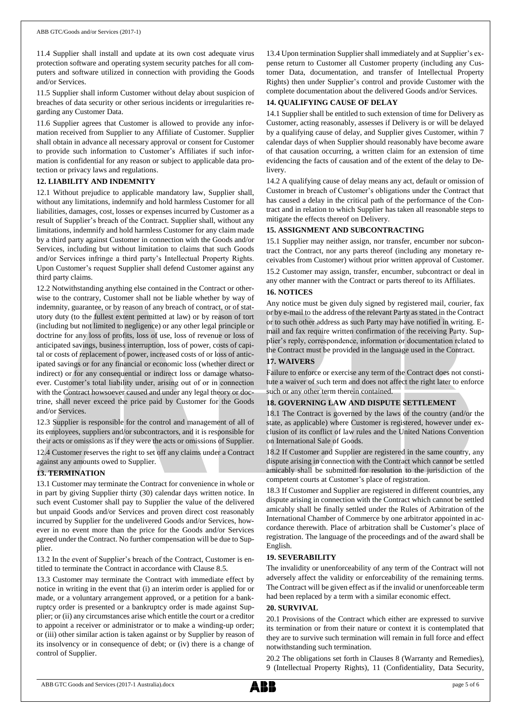11.4 Supplier shall install and update at its own cost adequate virus protection software and operating system security patches for all computers and software utilized in connection with providing the Goods and/or Services.

11.5 Supplier shall inform Customer without delay about suspicion of breaches of data security or other serious incidents or irregularities regarding any Customer Data.

11.6 Supplier agrees that Customer is allowed to provide any information received from Supplier to any Affiliate of Customer. Supplier shall obtain in advance all necessary approval or consent for Customer to provide such information to Customer's Affiliates if such information is confidential for any reason or subject to applicable data protection or privacy laws and regulations.

# **12. LIABILITY AND INDEMNITY**

12.1 Without prejudice to applicable mandatory law, Supplier shall, without any limitations, indemnify and hold harmless Customer for all liabilities, damages, cost, losses or expenses incurred by Customer as a result of Supplier's breach of the Contract. Supplier shall, without any limitations, indemnify and hold harmless Customer for any claim made by a third party against Customer in connection with the Goods and/or Services, including but without limitation to claims that such Goods and/or Services infringe a third party's Intellectual Property Rights. Upon Customer's request Supplier shall defend Customer against any third party claims.

12.2 Notwithstanding anything else contained in the Contract or otherwise to the contrary, Customer shall not be liable whether by way of indemnity, guarantee, or by reason of any breach of contract, or of statutory duty (to the fullest extent permitted at law) or by reason of tort (including but not limited to negligence) or any other legal principle or doctrine for any loss of profits, loss of use, loss of revenue or loss of anticipated savings, business interruption, loss of power, costs of capital or costs of replacement of power, increased costs of or loss of anticipated savings or for any financial or economic loss (whether direct or indirect) or for any consequential or indirect loss or damage whatsoever. Customer's total liability under, arising out of or in connection with the Contract howsoever caused and under any legal theory or doctrine, shall never exceed the price paid by Customer for the Goods and/or Services.

12.3 Supplier is responsible for the control and management of all of its employees, suppliers and/or subcontractors, and it is responsible for their acts or omissions as if they were the acts or omissions of Supplier. 12.4 Customer reserves the right to set off any claims under a Contract against any amounts owed to Supplier.

# **13. TERMINATION**

13.1 Customer may terminate the Contract for convenience in whole or in part by giving Supplier thirty (30) calendar days written notice. In such event Customer shall pay to Supplier the value of the delivered but unpaid Goods and/or Services and proven direct cost reasonably incurred by Supplier for the undelivered Goods and/or Services, however in no event more than the price for the Goods and/or Services agreed under the Contract. No further compensation will be due to Supplier.

13.2 In the event of Supplier's breach of the Contract, Customer is entitled to terminate the Contract in accordance with Clause 8.5.

13.3 Customer may terminate the Contract with immediate effect by notice in writing in the event that (i) an interim order is applied for or made, or a voluntary arrangement approved, or a petition for a bankruptcy order is presented or a bankruptcy order is made against Supplier; or (ii) any circumstances arise which entitle the court or a creditor to appoint a receiver or administrator or to make a winding-up order; or (iii) other similar action is taken against or by Supplier by reason of its insolvency or in consequence of debt; or (iv) there is a change of control of Supplier.

13.4 Upon termination Supplier shall immediately and at Supplier's expense return to Customer all Customer property (including any Customer Data, documentation, and transfer of Intellectual Property Rights) then under Supplier's control and provide Customer with the complete documentation about the delivered Goods and/or Services.

# **14. QUALIFYING CAUSE OF DELAY**

14.1 Supplier shall be entitled to such extension of time for Delivery as Customer, acting reasonably, assesses if Delivery is or will be delayed by a qualifying cause of delay, and Supplier gives Customer, within 7 calendar days of when Supplier should reasonably have become aware of that causation occurring, a written claim for an extension of time evidencing the facts of causation and of the extent of the delay to Delivery.

14.2 A qualifying cause of delay means any act, default or omission of Customer in breach of Customer's obligations under the Contract that has caused a delay in the critical path of the performance of the Contract and in relation to which Supplier has taken all reasonable steps to mitigate the effects thereof on Delivery.

# **15. ASSIGNMENT AND SUBCONTRACTING**

15.1 Supplier may neither assign, nor transfer, encumber nor subcontract the Contract, nor any parts thereof (including any monetary receivables from Customer) without prior written approval of Customer. 15.2 Customer may assign, transfer, encumber, subcontract or deal in any other manner with the Contract or parts thereof to its Affiliates.

## **16. NOTICES**

Any notice must be given duly signed by registered mail, courier, fax or by e-mail to the address of the relevant Party as stated in the Contract or to such other address as such Party may have notified in writing. Email and fax require written confirmation of the receiving Party. Supplier's reply, correspondence, information or documentation related to the Contract must be provided in the language used in the Contract.

# **17. WAIVERS**

Failure to enforce or exercise any term of the Contract does not constitute a waiver of such term and does not affect the right later to enforce such or any other term therein contained.

# **18. GOVERNING LAW AND DISPUTE SETTLEMENT**

18.1 The Contract is governed by the laws of the country (and/or the state, as applicable) where Customer is registered, however under exclusion of its conflict of law rules and the United Nations Convention on International Sale of Goods.

18.2 If Customer and Supplier are registered in the same country, any dispute arising in connection with the Contract which cannot be settled amicably shall be submitted for resolution to the jurisdiction of the competent courts at Customer's place of registration.

18.3 If Customer and Supplier are registered in different countries, any dispute arising in connection with the Contract which cannot be settled amicably shall be finally settled under the Rules of Arbitration of the International Chamber of Commerce by one arbitrator appointed in accordance therewith. Place of arbitration shall be Customer's place of registration. The language of the proceedings and of the award shall be English.

# **19. SEVERABILITY**

The invalidity or unenforceability of any term of the Contract will not adversely affect the validity or enforceability of the remaining terms. The Contract will be given effect as if the invalid or unenforceable term had been replaced by a term with a similar economic effect.

### **20. SURVIVAL**

20.1 Provisions of the Contract which either are expressed to survive its termination or from their nature or context it is contemplated that they are to survive such termination will remain in full force and effect notwithstanding such termination.

20.2 The obligations set forth in Clauses 8 (Warranty and Remedies), 9 (Intellectual Property Rights), 11 (Confidentiality, Data Security,